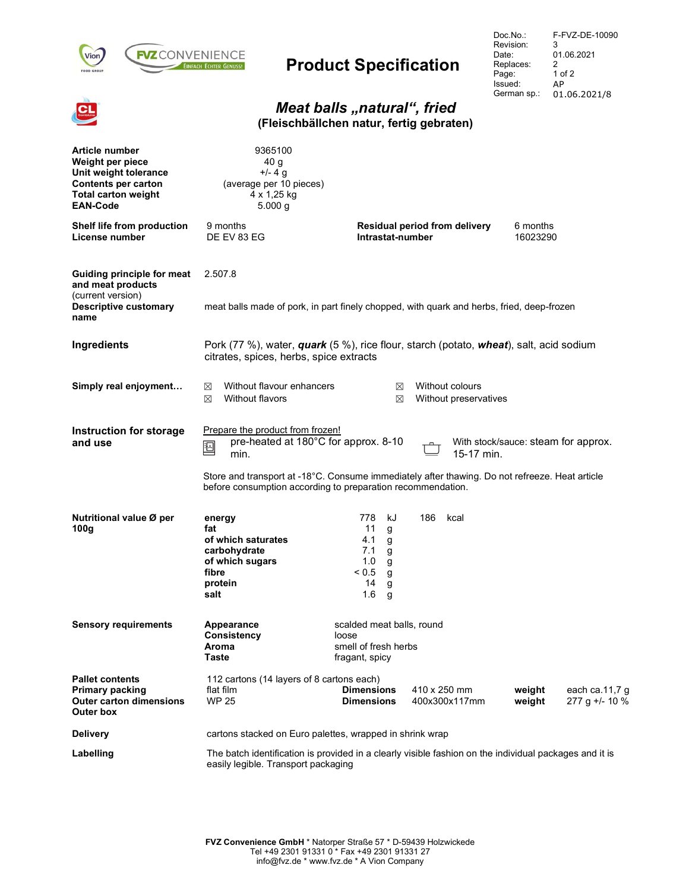

# Product Specification

Doc.No.: Revision: Date: Replaces: Page: Issued: German sp.: F-FVZ-DE-10090 3 01.06.2021 2 1 of 2 AP 01.06.2021/8

#### Meat balls "natural", fried (Fleischbällchen natur, fertig gebraten)

| <b>Article number</b><br>Weight per piece<br>Unit weight tolerance<br><b>Contents per carton</b><br><b>Total carton weight</b><br><b>EAN-Code</b> | 9365100<br>40 g<br>$+/- 4 g$<br>(average per 10 pieces)<br>4 x 1,25 kg<br>5.000 g                                                                                                                                                                                                                                             |                                                                                               |                                          |                                                        |  |  |  |
|---------------------------------------------------------------------------------------------------------------------------------------------------|-------------------------------------------------------------------------------------------------------------------------------------------------------------------------------------------------------------------------------------------------------------------------------------------------------------------------------|-----------------------------------------------------------------------------------------------|------------------------------------------|--------------------------------------------------------|--|--|--|
| Shelf life from production<br>License number                                                                                                      | 9 months<br>DE EV 83 EG                                                                                                                                                                                                                                                                                                       | Residual period from delivery<br>Intrastat-number                                             |                                          | 6 months<br>16023290                                   |  |  |  |
| <b>Guiding principle for meat</b><br>and meat products                                                                                            | 2.507.8                                                                                                                                                                                                                                                                                                                       |                                                                                               |                                          |                                                        |  |  |  |
| (current version)<br><b>Descriptive customary</b><br>name                                                                                         | meat balls made of pork, in part finely chopped, with quark and herbs, fried, deep-frozen                                                                                                                                                                                                                                     |                                                                                               |                                          |                                                        |  |  |  |
| Ingredients                                                                                                                                       | Pork (77 %), water, <i>quark</i> (5 %), rice flour, starch (potato, <i>wheat</i> ), salt, acid sodium<br>citrates, spices, herbs, spice extracts                                                                                                                                                                              |                                                                                               |                                          |                                                        |  |  |  |
| Simply real enjoyment                                                                                                                             | Without flavour enhancers<br>⊠<br>Without flavors<br>⊠                                                                                                                                                                                                                                                                        | ⊠<br>⊠                                                                                        | Without colours<br>Without preservatives |                                                        |  |  |  |
| Instruction for storage<br>and use                                                                                                                | Prepare the product from frozen!<br>pre-heated at 180°C for approx. 8-10<br>With stock/sauce: steam for approx.<br>$\overline{a}$<br>迴<br>15-17 min.<br>min.<br>Store and transport at -18°C. Consume immediately after thawing. Do not refreeze. Heat article<br>before consumption according to preparation recommendation. |                                                                                               |                                          |                                                        |  |  |  |
| Nutritional value Ø per<br>100 <sub>g</sub>                                                                                                       | energy<br>fat<br>of which saturates<br>carbohydrate<br>of which sugars<br>fibre<br>protein<br>salt                                                                                                                                                                                                                            | 778<br>kJ<br>11<br>g<br>4.1<br>g<br>7.1<br>g<br>1.0<br>g<br>< 0.5<br>g<br>14<br>g<br>1.6<br>g | 186<br>kcal                              |                                                        |  |  |  |
| <b>Sensory requirements</b>                                                                                                                       | Appearance<br>Consistency<br>Aroma<br>Taste                                                                                                                                                                                                                                                                                   | scalded meat balls, round<br>loose<br>smell of fresh herbs<br>fragant, spicy                  |                                          |                                                        |  |  |  |
| <b>Pallet contents</b><br><b>Primary packing</b><br><b>Outer carton dimensions</b><br>Outer box                                                   | 112 cartons (14 layers of 8 cartons each)<br>flat film<br><b>WP 25</b>                                                                                                                                                                                                                                                        | <b>Dimensions</b><br><b>Dimensions</b>                                                        | 410 x 250 mm<br>400x300x117mm            | weight<br>each ca.11,7 g<br>weight<br>$277 g$ +/- 10 % |  |  |  |
| <b>Delivery</b>                                                                                                                                   | cartons stacked on Euro palettes, wrapped in shrink wrap                                                                                                                                                                                                                                                                      |                                                                                               |                                          |                                                        |  |  |  |
| Labelling                                                                                                                                         | The batch identification is provided in a clearly visible fashion on the individual packages and it is<br>easily legible. Transport packaging                                                                                                                                                                                 |                                                                                               |                                          |                                                        |  |  |  |